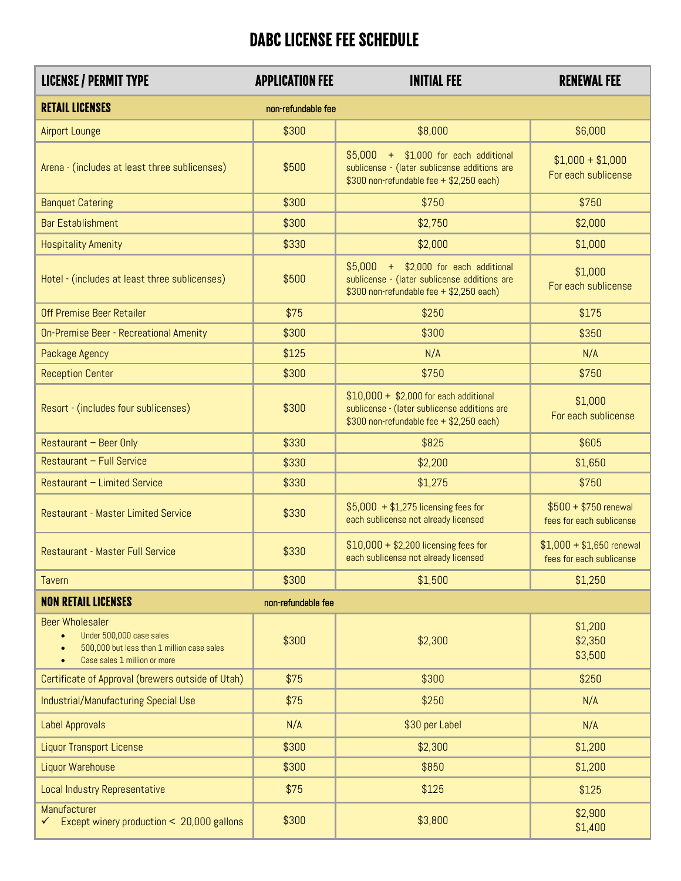## DABC LICENSE FEE SCHEDULE

| <b>LICENSE / PERMIT TYPE</b>                                                                                                     | <b>APPLICATION FEE</b> | <b>INITIAL FEE</b>                                                                                                                  | <b>RENEWAL FEE</b>                                    |
|----------------------------------------------------------------------------------------------------------------------------------|------------------------|-------------------------------------------------------------------------------------------------------------------------------------|-------------------------------------------------------|
| <b>RETAIL LICENSES</b>                                                                                                           | non-refundable fee     |                                                                                                                                     |                                                       |
| <b>Airport Lounge</b>                                                                                                            | \$300                  | \$8,000                                                                                                                             | \$6,000                                               |
| Arena - (includes at least three sublicenses)                                                                                    | \$500                  | $$5,000$ + $$1,000$ for each additional<br>sublicense - (later sublicense additions are<br>\$300 non-refundable fee + \$2,250 each) | $$1,000 + $1,000$<br>For each sublicense              |
| <b>Banquet Catering</b>                                                                                                          | \$300                  | \$750                                                                                                                               | \$750                                                 |
| <b>Bar Establishment</b>                                                                                                         | \$300                  | \$2,750                                                                                                                             | \$2,000                                               |
| <b>Hospitality Amenity</b>                                                                                                       | \$330                  | \$2,000                                                                                                                             | \$1,000                                               |
| Hotel - (includes at least three sublicenses)                                                                                    | \$500                  | $$5,000$ + $$2,000$ for each additional<br>sublicense - (later sublicense additions are<br>\$300 non-refundable fee + \$2,250 each) | \$1,000<br>For each sublicense                        |
| Off Premise Beer Retailer                                                                                                        | \$75                   | \$250                                                                                                                               | \$175                                                 |
| On-Premise Beer - Recreational Amenity                                                                                           | \$300                  | \$300                                                                                                                               | \$350                                                 |
| Package Agency                                                                                                                   | \$125                  | N/A                                                                                                                                 | N/A                                                   |
| <b>Reception Center</b>                                                                                                          | \$300                  | \$750                                                                                                                               | \$750                                                 |
| Resort - (includes four sublicenses)                                                                                             | \$300                  | $$10,000 + $2,000$ for each additional<br>sublicense - (later sublicense additions are<br>\$300 non-refundable fee + \$2,250 each)  | \$1,000<br>For each sublicense                        |
| Restaurant - Beer Only                                                                                                           | \$330                  | \$825                                                                                                                               | \$605                                                 |
| Restaurant - Full Service                                                                                                        | \$330                  | \$2,200                                                                                                                             | \$1,650                                               |
| Restaurant - Limited Service                                                                                                     | \$330                  | \$1,275                                                                                                                             | \$750                                                 |
| <b>Restaurant - Master Limited Service</b>                                                                                       | \$330                  | $$5,000 + $1,275$ licensing fees for<br>each sublicense not already licensed                                                        | $$500 + $750$ renewal<br>fees for each sublicense     |
| Restaurant - Master Full Service                                                                                                 | \$330                  | $$10,000 + $2,200$ licensing fees for<br>each sublicense not already licensed                                                       | $$1,000 + $1,650$ renewal<br>fees for each sublicense |
| Tavern                                                                                                                           | \$300                  | \$1,500                                                                                                                             | \$1,250                                               |
| <b>NON RETAIL LICENSES</b>                                                                                                       | non-refundable fee     |                                                                                                                                     |                                                       |
| <b>Beer Wholesaler</b><br>Under 500,000 case sales<br>500,000 but less than 1 million case sales<br>Case sales 1 million or more | \$300                  | \$2,300                                                                                                                             | \$1,200<br>\$2,350<br>\$3,500                         |
| Certificate of Approval (brewers outside of Utah)                                                                                | \$75                   | \$300                                                                                                                               | \$250                                                 |
| Industrial/Manufacturing Special Use                                                                                             | \$75                   | \$250                                                                                                                               | N/A                                                   |
| Label Approvals                                                                                                                  | N/A                    | \$30 per Label                                                                                                                      | N/A                                                   |
| <b>Liquor Transport License</b>                                                                                                  | \$300                  | \$2,300                                                                                                                             | \$1,200                                               |
| Liquor Warehouse                                                                                                                 | \$300                  | \$850                                                                                                                               | \$1,200                                               |
| Local Industry Representative                                                                                                    | \$75                   | \$125                                                                                                                               | \$125                                                 |
| Manufacturer<br>Except winery production < 20,000 gallons                                                                        | \$300                  | \$3,800                                                                                                                             | \$2,900<br>\$1,400                                    |